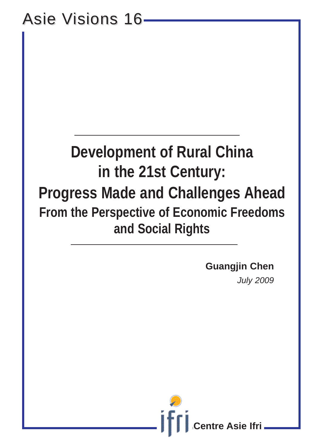# Asie Visions 16-

# **Development of Rural China in the 21st Century: Progress Made and Challenges Ahead From the Perspective of Economic Freedoms and Social Rights**

**Guangjin Chen**

*July 2009*

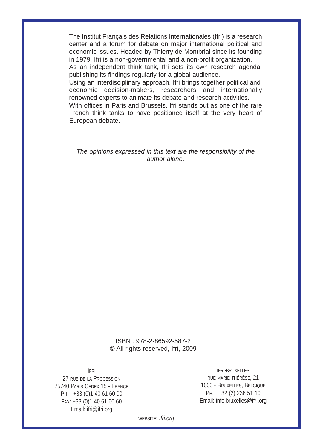The Institut Français des Relations Internationales (Ifri) is a research center and a forum for debate on major international political and economic issues. Headed by Thierry de Montbrial since its founding in 1979, Ifri is a non-governmental and a non-profit organization.

As an independent think tank, Ifri sets its own research agenda, publishing its findings regularly for a global audience.

Using an interdisciplinary approach, Ifri brings together political and economic decision-makers, researchers and internationally renowned experts to animate its debate and research activities.

With offices in Paris and Brussels, Ifri stands out as one of the rare French think tanks to have positioned itself at the very heart of European debate.

*The opinions expressed in this text are the responsibility of the author alone*.

> ISBN : 978-2-86592-587-2 © All rights reserved, Ifri, 2009

IFRI

27 RUE DE LA PROCESSION 75740 PARIS CEDEX 15 - FRANCE PH. : +33 (0)1 40 61 60 00 FAX: +33 (0)1 40 61 60 60 Email: ifri@ifri.org

IFRI-BRUXELLES RUE MARIE-THÉRÈSE, 21 1000 - BRUXELLES, BELGIQUE PH. : +32 (2) 238 51 10 Email: info.bruxelles@ifri.org

WEBSITE: *Ifri.org*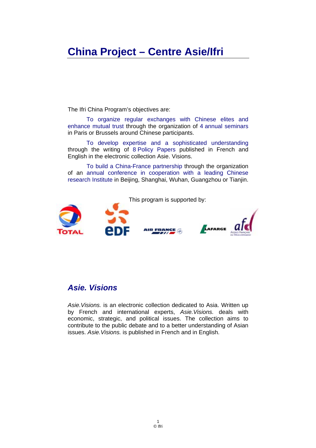# **China Project – Centre Asie/Ifri**

The Ifri China Program's objectives are:

To organize regular exchanges with Chinese elites and enhance mutual trust through the organization of 4 annual seminars in Paris or Brussels around Chinese participants.

To develop expertise and a sophisticated understanding through the writing of 8 Policy Papers published in French and English in the electronic collection Asie. Visions.

To build a China-France partnership through the organization of an annual conference in cooperation with a leading Chinese research Institute in Beijing, Shanghai, Wuhan, Guangzhou or Tianjin.



# *Asie. Visions*

*Asie.Visions.* is an electronic collection dedicated to Asia. Written up by French and international experts, *Asie.Visions.* deals with economic, strategic, and political issues. The collection aims to contribute to the public debate and to a better understanding of Asian issues. *Asie.Visions.* is published in French and in English.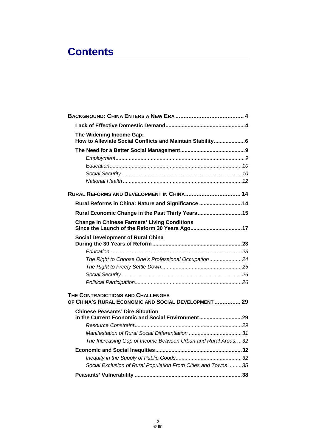# **Contents**

| The Widening Income Gap:<br>How to Alleviate Social Conflicts and Maintain Stability6     |
|-------------------------------------------------------------------------------------------|
|                                                                                           |
|                                                                                           |
|                                                                                           |
|                                                                                           |
|                                                                                           |
| RURAL REFORMS AND DEVELOPMENT IN CHINA 14                                                 |
| Rural Reforms in China: Nature and Significance  14                                       |
| Rural Economic Change in the Past Thirty Years 15                                         |
| <b>Change in Chinese Farmers' Living Conditions</b>                                       |
| <b>Social Development of Rural China</b>                                                  |
|                                                                                           |
| The Right to Choose One's Professional Occupation24                                       |
|                                                                                           |
|                                                                                           |
|                                                                                           |
| THE CONTRADICTIONS AND CHALLENGES<br>OF CHINA'S RURAL ECONOMIC AND SOCIAL DEVELOPMENT  29 |
| <b>Chinese Peasants' Dire Situation</b>                                                   |
|                                                                                           |
| Manifestation of Rural Social Differentiation 31                                          |
| The Increasing Gap of Income Between Urban and Rural Areas32                              |
|                                                                                           |
|                                                                                           |
| Social Exclusion of Rural Population From Cities and Towns 35                             |
|                                                                                           |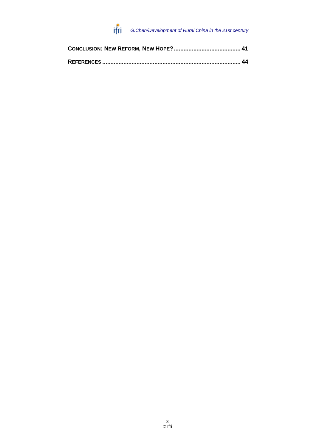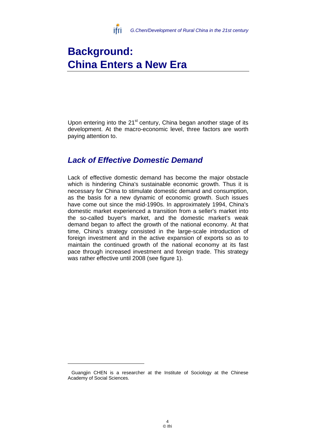

# **Background: China Enters a New Era**

Upon entering into the  $21<sup>st</sup>$  century, China began another stage of its development. At the macro-economic level, three factors are worth paying attention to.

# *Lack of Effective Domestic Demand*

Lack of effective domestic demand has become the major obstacle which is hindering China's sustainable economic growth. Thus it is necessary for China to stimulate domestic demand and consumption, as the basis for a new dynamic of economic growth. Such issues have come out since the mid-1990s. In approximately 1994, China's domestic market experienced a transition from a seller's market into the so-called buyer's market, and the domestic market's weak demand began to affect the growth of the national economy. At that time, China's strategy consisted in the large-scale introduction of foreign investment and in the active expansion of exports so as to maintain the continued growth of the national economy at its fast pace through increased investment and foreign trade. This strategy was rather effective until 2008 (see figure 1).

Guangjin CHEN is a researcher at the Institute of Sociology at the Chinese Academy of Social Sciences.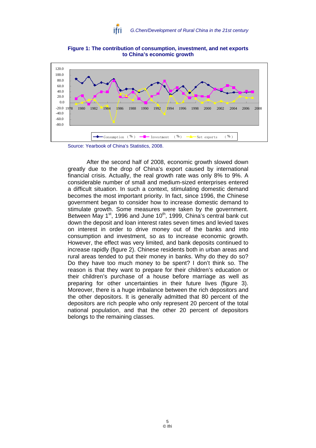

**Figure 1: The contribution of consumption, investment, and net exports to China's economic growth**



Source: Yearbook of China's Statistics, 2008.

After the second half of 2008, economic growth slowed down greatly due to the drop of China's export caused by international financial crisis. Actually, the real growth rate was only 8% to 9%. A considerable number of small and medium-sized enterprises entered a difficult situation. In such a context, stimulating domestic demand becomes the most important priority. In fact, since 1996, the Chinese government began to consider how to increase domestic demand to stimulate growth. Some measures were taken by the government. Between May  $1<sup>st</sup>$ , 1996 and June  $10<sup>th</sup>$ , 1999, China's central bank cut down the deposit and loan interest rates seven times and levied taxes on interest in order to drive money out of the banks and into consumption and investment, so as to increase economic growth. However, the effect was very limited, and bank deposits continued to increase rapidly (figure 2). Chinese residents both in urban areas and rural areas tended to put their money in banks. Why do they do so? Do they have too much money to be spent? I don't think so. The reason is that they want to prepare for their children's education or their children's purchase of a house before marriage as well as preparing for other uncertainties in their future lives (figure 3). Moreover, there is a huge imbalance between the rich depositors and the other depositors. It is generally admitted that 80 percent of the depositors are rich people who only represent 20 percent of the total national population, and that the other 20 percent of depositors belongs to the remaining classes.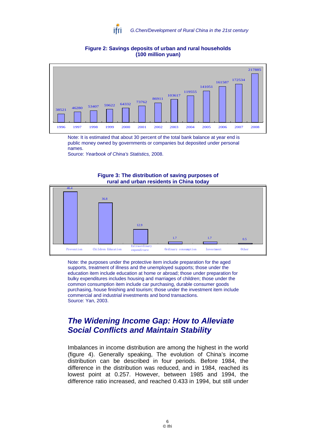

### **Figure 2: Savings deposits of urban and rural households (100 million yuan)**



Note: It is estimated that about 30 percent of the total bank balance at year end is public money owned by governments or companies but deposited under personal names.

Source: *Yearbook of China's Statistics,* 2008.



#### **Figure 3: The distribution of saving purposes of rural and urban residents in China today**

Note: the purposes under the protective item include preparation for the aged supports, treatment of illness and the unemployed supports; those under the education item include education at home or abroad; those under preparation for bulky expenditures includes housing and marriages of children; those under the common consumption item include car purchasing, durable consumer goods purchasing, house finishing and tourism; those under the investment item include commercial and industrial investments and bond transactions. Source: Yan, 2003.

# *The Widening Income Gap: How to Alleviate Social Conflicts and Maintain Stability*

Imbalances in income distribution are among the highest in the world (figure 4). Generally speaking, The evolution of China's income distribution can be described in four periods. Before 1984, the difference in the distribution was reduced, and in 1984, reached its lowest point at 0.257. However, between 1985 and 1994, the difference ratio increased, and reached 0.433 in 1994, but still under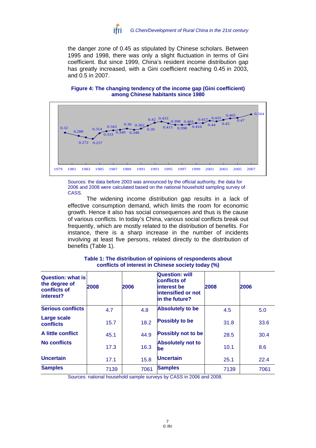

the danger zone of 0.45 as stipulated by Chinese scholars. Between 1995 and 1998, there was only a slight fluctuation in terms of Gini coefficient. But since 1999, China's resident income distribution gap has greatly increased, with a Gini coefficient reaching 0.45 in 2003, and 0.5 in 2007.

**Figure 4: The changing tendency of the income gap (Gini coefficient) among Chinese habitants since 1980** 



Sources: the data before 2003 was announced by the official authority, the data for 2006 and 2008 were calculated based on the national household sampling survey of CASS.

The widening income distribution gap results in a lack of effective consumption demand, which limits the room for economic growth. Hence it also has social consequences and thus is the cause of various conflicts. In today's China, various social conflicts break out frequently, which are mostly related to the distribution of benefits. For instance, there is a sharp increase in the number of incidents involving at least five persons, related directly to the distribution of benefits (Table 1).

| <b>Question: what is</b><br>the degree of<br>conflicts of<br>interest? | 2008 | 2006 | <b>Question: will</b><br>conflicts of<br>interest be<br>intensified or not<br>in the future? | 2008 | 2006 |
|------------------------------------------------------------------------|------|------|----------------------------------------------------------------------------------------------|------|------|
| <b>Serious conflicts</b>                                               | 4.7  | 4.8  | <b>Absolutely to be</b>                                                                      | 4.5  | 5.0  |
| <b>Large scale</b><br>conflicts                                        | 15.7 | 18.2 | <b>Possibly to be</b>                                                                        | 31.8 | 33.6 |
| A little conflict                                                      | 45.1 | 44.9 | <b>Possibly not to be</b>                                                                    | 28.5 | 30.4 |
| No conflicts                                                           | 17.3 | 16.3 | <b>Absolutely not to</b><br>be                                                               | 10.1 | 8.6  |
| <b>Uncertain</b>                                                       | 17.1 | 15.8 | <b>Uncertain</b>                                                                             | 25.1 | 22.4 |
| <b>Samples</b>                                                         | 7139 | 7061 | <b>Samples</b>                                                                               | 7139 | 7061 |

#### **Table 1: The distribution of opinions of respondents about conflicts of interest in Chinese society today (%)**

Sources: national household sample surveys by CASS in 2006 and 2008.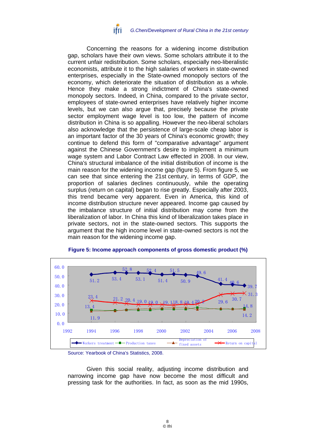

Concerning the reasons for a widening income distribution gap, scholars have their own views. Some scholars attribute it to the current unfair redistribution. Some scholars, especially neo-liberalistic economists, attribute it to the high salaries of workers in state-owned enterprises, especially in the State-owned monopoly sectors of the economy, which deteriorate the situation of distribution as a whole. Hence they make a strong indictment of China's state-owned monopoly sectors. Indeed, in China, compared to the private sector, employees of state-owned enterprises have relatively higher income levels, but we can also argue that, precisely because the private sector employment wage level is too low, the pattern of income distribution in China is so appalling. However the neo-liberal scholars also acknowledge that the persistence of large-scale cheap labor is an important factor of the 30 years of China's economic growth; they continue to defend this form of "comparative advantage" argument against the Chinese Government's desire to implement a minimum wage system and Labor Contract Law effected in 2008. In our view, China's structural imbalance of the initial distribution of income is the main reason for the widening income gap (figure 5). From figure 5, we can see that since entering the 21st century, in terms of GDP, the proportion of salaries declines continuously, while the operating surplus (return on capital) began to rise greatly. Especially after 2003, this trend became very apparent. Even in America, this kind of income distribution structure never appeared. Income gap caused by the imbalance structure of initial distribution may come from the liberalization of labor. In China this kind of liberalization takes place in private sectors, not in the state-owned sectors. This supports the argument that the high income level in state-owned sectors is not the main reason for the widening income gap.



### **Figure 5: Income approach components of gross domestic product (%)**

Given this social reality, adjusting income distribution and narrowing income gap have now become the most difficult and pressing task for the authorities. In fact, as soon as the mid 1990s,

Source: Yearbook of China's Statistics, 2008.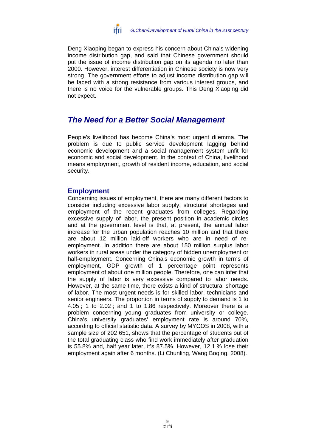

Deng Xiaoping began to express his concern about China's widening income distribution gap, and said that Chinese government should put the issue of income distribution gap on its agenda no later than 2000. However, interest differentiation in Chinese society is now very strong, The government efforts to adjust income distribution gap will be faced with a strong resistance from various interest groups, and there is no voice for the vulnerable groups. This Deng Xiaoping did not expect.

# *The Need for a Better Social Management*

People's livelihood has become China's most urgent dilemma. The problem is due to public service development lagging behind economic development and a social management system unfit for economic and social development. In the context of China, livelihood means employment, growth of resident income, education, and social security.

# **Employment**

Concerning issues of employment, there are many different factors to consider including excessive labor supply, structural shortages and employment of the recent graduates from colleges. Regarding excessive supply of labor, the present position in academic circles and at the government level is that, at present, the annual labor increase for the urban population reaches 10 million and that there are about 12 million laid-off workers who are in need of reemployment. In addition there are about 150 million surplus labor workers in rural areas under the category of hidden unemployment or half-employment. Concerning China's economic growth in terms of employment, GDP growth of 1 percentage point represents employment of about one million people. Therefore, one can infer that the supply of labor is very excessive compared to labor needs. However, at the same time, there exists a kind of structural shortage of labor. The most urgent needs is for skilled labor, technicians and senior engineers. The proportion in terms of supply to demand is 1 to 4.05 ; 1 to 2.02 ; and 1 to 1.86 respectively. Moreover there is a problem concerning young graduates from university or college. China's university graduates' employment rate is around 70%, according to official statistic data. A survey by MYCOS in 2008, with a sample size of 202 651, shows that the percentage of students out of the total graduating class who find work immediately after graduation is 55.8% and, half year later, it's 87.5%. However, 12,1 % lose their employment again after 6 months. (Li Chunling, Wang Boqing, 2008).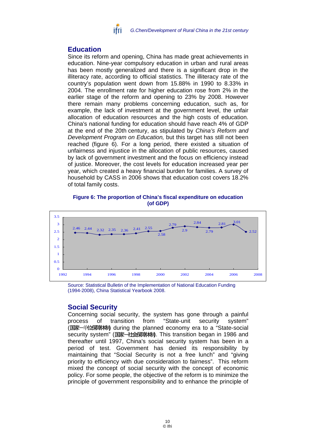

# **Education**

Since its reform and opening, China has made great achievements in education. Nine-year compulsory education in urban and rural areas has been mostly generalized and there is a significant drop in the illiteracy rate, according to official statistics. The illiteracy rate of the country's population went down from 15.88% in 1990 to 8.33% in 2004. The enrollment rate for higher education rose from 2% in the earlier stage of the reform and opening to 23% by 2008. However there remain many problems concerning education, such as, for example, the lack of investment at the government level, the unfair allocation of education resources and the high costs of education. China's national funding for education should have reach 4% of GDP at the end of the 20th century, as stipulated by *China's Reform and Development Program on Education,* but this target has still not been reached (figure 6). For a long period, there existed a situation of unfairness and injustice in the allocation of public resources, caused by lack of government investment and the focus on efficiency instead of justice. Moreover, the cost levels for education increased year per year, which created a heavy financial burden for families. A survey of household by CASS in 2006 shows that education cost covers 18.2% of total family costs.

**Figure 6: The proportion of China's fiscal expenditure on education (of GDP)** 



Source: Statistical Bulletin of the Implementation of National Education Funding (1994-2008), China Statistical Yearbook 2008.

# **Social Security**

Concerning social security, the system has gone through a painful process of transition from "State-unit security system" (国家-单位采草林) during the planned economy era to a "State-social security system" (国家-社会保障株). This transition began in 1986 and thereafter until 1997, China's social security system has been in a period of test. Government has denied its responsibility by maintaining that "Social Security is not a free lunch" and "giving priority to efficiency with due consideration to fairness". This reform mixed the concept of social security with the concept of economic policy. For some people, the objective of the reform is to minimize the principle of government responsibility and to enhance the principle of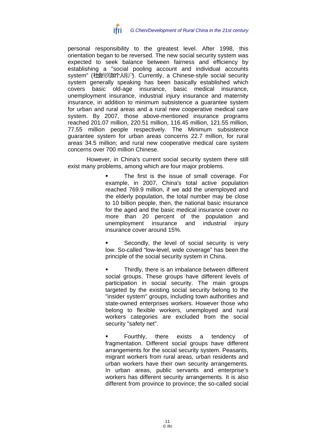![](_page_12_Picture_0.jpeg)

personal responsibility to the greatest level. After 1998, this orientation began to be reversed. The new social security system was expected to seek balance between fairness and efficiency by establishing a "social pooling account and individual accounts system" (社会统第加个人账户). Currently, a Chinese-style social security system generally speaking has been basically established which covers basic old-age insurance, basic medical insurance, unemployment insurance, industrial injury insurance and maternity insurance, in addition to minimum subsistence a guarantee system for urban and rural areas and a rural new cooperative medical care system. By 2007, those above-mentioned insurance programs reached 201.07 million, 220.51 million, 116.45 million, 121.55 million, 77.55 million people respectively. The Minimum subsistence guarantee system for urban areas concerns 22.7 million, for rural areas 34.5 million; and rural new cooperative medical care system concerns over 700 million Chinese.

However, in China's current social security system there still exist many problems, among which are four major problems.

> The first is the issue of small coverage. For example, in 2007, China's total active population reached 769.9 million, if we add the unemployed and the elderly population, the total number may be close to 10 billion people, then, the national basic insurance for the aged and the basic medical insurance cover no more than 20 percent of the population and unemployment insurance and industrial injury insurance cover around 15%.

> Secondly, the level of social security is very low. So-called "low-level, wide coverage" has been the principle of the social security system in China.

> Thirdly, there is an imbalance between different social groups. These groups have different levels of participation in social security. The main groups targeted by the existing social security belong to the "insider system" groups, including town authorities and state-owned enterprises workers. However those who belong to flexible workers, unemployed and rural workers categories are excluded from the social security "safety net".

> Fourthly, there exists a tendency of fragmentation. Different social groups have different arrangements for the social security system. Peasants, migrant workers from rural areas, urban residents and urban workers have their own security arrangements. In urban areas, public servants and enterprise's workers has different security arrangements. It is also different from province to province; the so-called social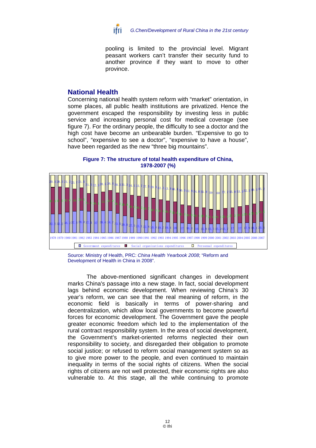![](_page_13_Picture_0.jpeg)

pooling is limited to the provincial level. Migrant peasant workers can't transfer their security fund to another province if they want to move to other province.

# **National Health**

Concerning national health system reform with "market" orientation, in some places, all public health institutions are privatized. Hence the government escaped the responsibility by investing less in public service and increasing personal cost for medical coverage (see figure 7). For the ordinary people, the difficulty to see a doctor and the high cost have become an unbearable burden. "Expensive to go to school", "expensive to see a doctor", "expensive to have a house", have been regarded as the new "three big mountains".

![](_page_13_Figure_4.jpeg)

![](_page_13_Figure_5.jpeg)

Source: Ministry of Health, PRC: *China Health Yearbook 2008*; "Reform and Development of Health in China in 2008".

The above-mentioned significant changes in development marks China's passage into a new stage. In fact, social development lags behind economic development. When reviewing China's 30 year's reform, we can see that the real meaning of reform, in the economic field is basically in terms of power-sharing and decentralization, which allow local governments to become powerful forces for economic development. The Government gave the people greater economic freedom which led to the implementation of the rural contract responsibility system. In the area of social development, the Government's market-oriented reforms neglected their own responsibility to society, and disregarded their obligation to promote social justice; or refused to reform social management system so as to give more power to the people, and even continued to maintain inequality in terms of the social rights of citizens. When the social rights of citizens are not well protected, their economic rights are also vulnerable to. At this stage, all the while continuing to promote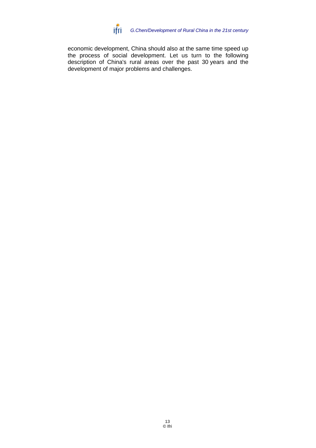![](_page_14_Picture_0.jpeg)

economic development, China should also at the same time speed up the process of social development. Let us turn to the following description of China's rural areas over the past 30 years and the development of major problems and challenges.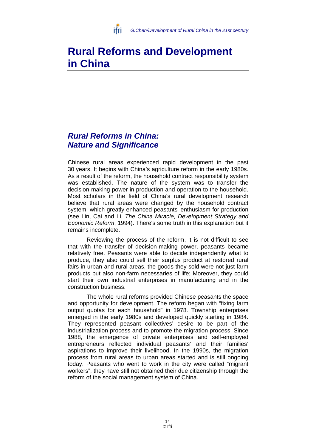![](_page_15_Picture_0.jpeg)

# **Rural Reforms and Development in China**

# *Rural Reforms in China: Nature and Significance*

Chinese rural areas experienced rapid development in the past 30 years. It begins with China's agriculture reform in the early 1980s. As a result of the reform, the household contract responsibility system was established. The nature of the system was to transfer the decision-making power in production and operation to the household. Most scholars in the field of China's rural development research believe that rural areas were changed by the household contract system, which greatly enhanced peasants' enthusiasm for production (see Lin, Cai and Li, *The China Miracle, Development Strategy and Economic Reform*, 1994). There's some truth in this explanation but it remains incomplete.

Reviewing the process of the reform, it is not difficult to see that with the transfer of decision-making power, peasants became relatively free. Peasants were able to decide independently what to produce, they also could sell their surplus product at restored rural fairs in urban and rural areas, the goods they sold were not just farm products but also non-farm necessaries of life; Moreover, they could start their own industrial enterprises in manufacturing and in the construction business.

The whole rural reforms provided Chinese peasants the space and opportunity for development. The reform began with "fixing farm output quotas for each household" in 1978. Township enterprises emerged in the early 1980s and developed quickly starting in 1984. They represented peasant collectives' desire to be part of the industrialization process and to promote the migration process. Since 1988, the emergence of private enterprises and self-employed entrepreneurs reflected individual peasants' and their families' aspirations to improve their livelihood. In the 1990s, the migration process from rural areas to urban areas started and is still ongoing today. Peasants who went to work in the city were called "migrant workers", they have still not obtained their due citizenship through the reform of the social management system of China.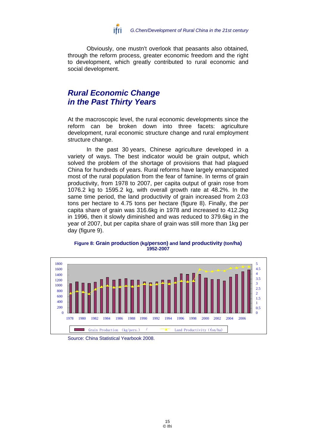![](_page_16_Picture_0.jpeg)

Obviously, one mustn't overlook that peasants also obtained, through the reform process, greater economic freedom and the right to development, which greatly contributed to rural economic and social development.

# *Rural Economic Change in the Past Thirty Years*

At the macroscopic level, the rural economic developments since the reform can be broken down into three facets: agriculture development, rural economic structure change and rural employment structure change.

In the past 30 years, Chinese agriculture developed in a variety of ways. The best indicator would be grain output, which solved the problem of the shortage of provisions that had plagued China for hundreds of years. Rural reforms have largely emancipated most of the rural population from the fear of famine. In terms of grain productivity, from 1978 to 2007, per capita output of grain rose from 1076.2 kg to 1595.2 kg, with overall growth rate at 48.2%. In the same time period, the land productivity of grain increased from 2.03 tons per hectare to 4.75 tons per hectare (figure 8). Finally, the per capita share of grain was 316.6kg in 1978 and increased to 412.2kg in 1996, then it slowly diminished and was reduced to 379.6kg in the year of 2007, but per capita share of grain was still more than 1kg per day (figure 9).

![](_page_16_Figure_5.jpeg)

#### **Figure 8: Grain production (kg/person) and land productivity (ton/ha) 1952-2007**

Source: China Statistical Yearbook 2008.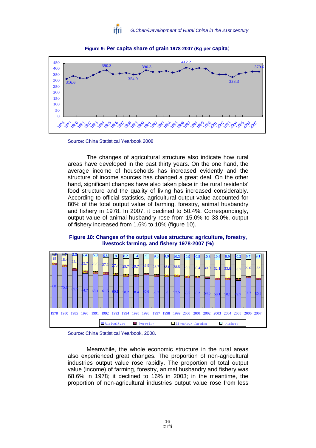![](_page_17_Picture_0.jpeg)

![](_page_17_Figure_1.jpeg)

**Figure 9: Per capita share of grain 1978-2007 (Kg per capita**)

![](_page_17_Figure_3.jpeg)

The changes of agricultural structure also indicate how rural areas have developed in the past thirty years. On the one hand, the average income of households has increased evidently and the structure of income sources has changed a great deal. On the other hand, significant changes have also taken place in the rural residents' food structure and the quality of living has increased considerably. According to official statistics, agricultural output value accounted for 80% of the total output value of farming, forestry, animal husbandry and fishery in 1978. In 2007, it declined to 50.4%. Correspondingly, output value of animal husbandry rose from 15.0% to 33.0%, output of fishery increased from 1.6% to 10% (figure 10).

**Figure 10: Changes of the output value structure: agriculture, forestry, livestock farming, and fishery 1978-2007 (%)** 

![](_page_17_Figure_6.jpeg)

Source: China Statistical Yearbook, 2008.

Meanwhile, the whole economic structure in the rural areas also experienced great changes. The proportion of non-agricultural industries output value rose rapidly. The proportion of total output value (income) of farming, forestry, animal husbandry and fishery was 68.6% in 1978; it declined to 16% in 2003; in the meantime, the proportion of non-agricultural industries output value rose from less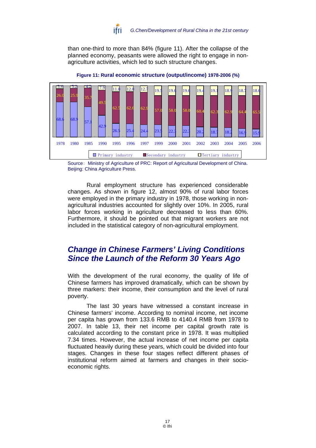![](_page_18_Picture_0.jpeg)

than one-third to more than 84% (figure 11). After the collapse of the planned economy, peasants were allowed the right to engage in nonagriculture activities, which led to such structure changes.

![](_page_18_Figure_2.jpeg)

**Figure 11: Rural economic structure (output/income) 1978-2006 (%)**

Rural employment structure has experienced considerable changes. As shown in figure 12, almost 90% of rural labor forces were employed in the primary industry in 1978, those working in nonagricultural industries accounted for slightly over 10%. In 2005, rural labor forces working in agriculture decreased to less than 60%. Furthermore, it should be pointed out that migrant workers are not included in the statistical category of non-agricultural employment.

# *Change in Chinese Farmers' Living Conditions Since the Launch of the Reform 30 Years Ago*

With the development of the rural economy, the quality of life of Chinese farmers has improved dramatically, which can be shown by three markers: their income, their consumption and the level of rural poverty.

The last 30 years have witnessed a constant increase in Chinese farmers' income. According to nominal income, net income per capita has grown from 133.6 RMB to 4140.4 RMB from 1978 to 2007. In table 13, their net income per capital growth rate is calculated according to the constant price in 1978. It was multiplied 7.34 times. However, the actual increase of net income per capita fluctuated heavily during these years, which could be divided into four stages. Changes in these four stages reflect different phases of institutional reform aimed at farmers and changes in their socioeconomic rights.

Source: Ministry of Agriculture of PRC: Report of Agricultural Development of China. Beijing: China Agriculture Press.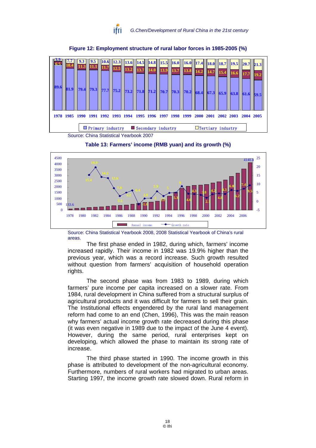![](_page_19_Picture_0.jpeg)

![](_page_19_Figure_1.jpeg)

#### **Figure 12: Employment structure of rural labor forces in 1985-2005 (%)**

Source: China Statistical Yearbook 2007

![](_page_19_Figure_4.jpeg)

![](_page_19_Figure_5.jpeg)

Source: China Statistical Yearbook 2008, 2008 Statistical Yearbook of China's rural areas.

The first phase ended in 1982, during which, farmers' income increased rapidly. Their income in 1982 was 19.9% higher than the previous year, which was a record increase. Such growth resulted without question from farmers' acquisition of household operation rights.

The second phase was from 1983 to 1989, during which farmers' pure income per capita increased on a slower rate. From 1984, rural development in China suffered from a structural surplus of agricultural products and it was difficult for farmers to sell their grain. The Institutional effects engendered by the rural land management reform had come to an end (Chen, 1996), This was the main reason why farmers' actual income growth rate decreased during this phase (it was even negative in 1989 due to the impact of the June 4 event). However, during the same period, rural enterprises kept on developing, which allowed the phase to maintain its strong rate of increase.

The third phase started in 1990. The income growth in this phase is attributed to development of the non-agricultural economy. Furthermore, numbers of rural workers had migrated to urban areas. Starting 1997, the income growth rate slowed down. Rural reform in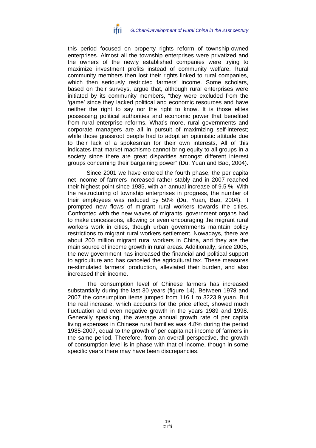![](_page_20_Picture_0.jpeg)

this period focused on property rights reform of township-owned enterprises. Almost all the township enterprises were privatized and the owners of the newly established companies were trying to maximize investment profits instead of community welfare. Rural community members then lost their rights linked to rural companies, which then seriously restricted farmers' income. Some scholars, based on their surveys, argue that, although rural enterprises were initiated by its community members, "they were excluded from the 'game' since they lacked political and economic resources and have neither the right to say nor the right to know. It is those elites possessing political authorities and economic power that benefited from rural enterprise reforms. What's more, rural governments and corporate managers are all in pursuit of maximizing self-interest; while those grassroot people had to adopt an optimistic attitude due to their lack of a spokesman for their own interests, All of this indicates that market machismo cannot bring equity to all groups in a society since there are great disparities amongst different interest groups concerning their bargaining power" (Du, Yuan and Bao, 2004).

Since 2001 we have entered the fourth phase, the per capita net income of farmers increased rather stably and in 2007 reached their highest point since 1985, with an annual increase of 9.5 %. With the restructuring of township enterprises in progress, the number of their employees was reduced by 50% (Du, Yuan, Bao, 2004). It prompted new flows of migrant rural workers towards the cities. Confronted with the new waves of migrants, government organs had to make concessions, allowing or even encouraging the migrant rural workers work in cities, though urban governments maintain policy restrictions to migrant rural workers settlement. Nowadays, there are about 200 million migrant rural workers in China, and they are the main source of income growth in rural areas. Additionally, since 2005, the new government has increased the financial and political support to agriculture and has canceled the agricultural tax. These measures re-stimulated farmers' production, alleviated their burden, and also increased their income.

The consumption level of Chinese farmers has increased substantially during the last 30 years (figure 14). Between 1978 and 2007 the consumption items jumped from 116.1 to 3223.9 yuan. But the real increase, which accounts for the price effect, showed much fluctuation and even negative growth in the years 1989 and 1998. Generally speaking, the average annual growth rate of per capita living expenses in Chinese rural families was 4.8% during the period 1985-2007, equal to the growth of per capita net income of farmers in the same period. Therefore, from an overall perspective, the growth of consumption level is in phase with that of income, though in some specific years there may have been discrepancies.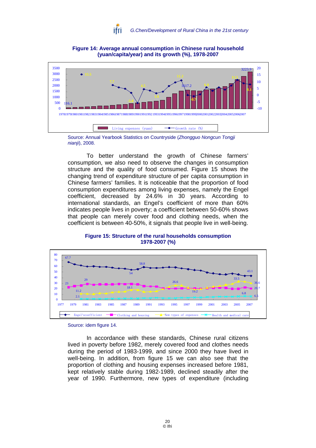![](_page_21_Picture_0.jpeg)

![](_page_21_Figure_1.jpeg)

**Figure 14: Average annual consumption in Chinese rural household (yuan/capita/year) and its growth (%), 1978-2007** 

Source: Annual Yearbook Statistics on Countryside (*Zhongguo Nongcun Tongji nianji*), 2008.

To better understand the growth of Chinese farmers' consumption, we also need to observe the changes in consumption structure and the quality of food consumed. Figure 15 shows the changing trend of expenditure structure of per capita consumption in Chinese farmers' families. It is noticeable that the proportion of food consumption expenditures among living expenses, namely the Engel coefficient, decreased by 24.6% in 30 years. According to international standards, an Engel's coefficient of more than 60% indicates people lives in poverty; a coefficient between 50-60% shows that people can merely cover food and clothing needs, when the coefficient is between 40-50%, it signals that people live in well-being.

![](_page_21_Figure_5.jpeg)

**Figure 15: Structure of the rural households consumption 1978-2007 (%)** 

Source: idem figure 14.

In accordance with these standards, Chinese rural citizens lived in poverty before 1982, merely covered food and clothes needs during the period of 1983-1999, and since 2000 they have lived in well-being. In addition, from figure 15 we can also see that the proportion of clothing and housing expenses increased before 1981, kept relatively stable during 1982-1989, declined steadily after the year of 1990. Furthermore, new types of expenditure (including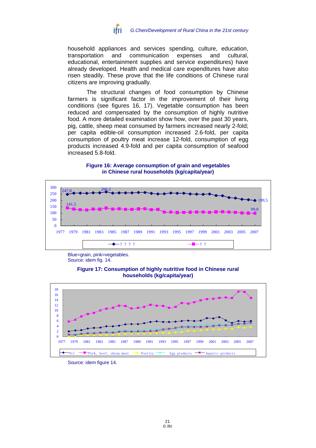![](_page_22_Picture_0.jpeg)

household appliances and services spending, culture, education, transportation and communication expenses and cultural, educational, entertainment supplies and service expenditures) have already developed. Health and medical care expenditures have also risen steadily. These prove that the life conditions of Chinese rural citizens are improving gradually.

The structural changes of food consumption by Chinese farmers is significant factor in the improvement of their living conditions (see figures 16, 17). Vegetable consumption has been reduced and compensated by the consumption of highly nutritive food. A more detailed examination show how, over the past 30 years, pig, cattle, sheep meat consumed by farmers increased nearly 2-fold; per capita edible-oil consumption increased 2.6-fold, per capita consumption of poultry meat increase 12-fold, consumption of egg products increased 4.9-fold and per capita consumption of seafood increased 5.8-fold.

![](_page_22_Figure_3.jpeg)

#### **Figure 16: Average consumption of grain and vegetables in Chinese rural households (kg/capita/year)**

Blue=grain, pink=vegetables. Source: idem fig. 14.

![](_page_22_Figure_6.jpeg)

![](_page_22_Figure_7.jpeg)

Source: idem figure 14.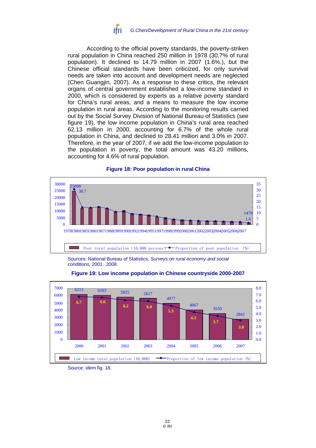![](_page_23_Picture_0.jpeg)

According to the official poverty standards, the poverty-striken rural population in China reached 250 million in 1978 (30,7% of rural population). It declined to 14.79 million in 2007 (1.6%.), but the Chinese official standards have been criticized, for only survival needs are taken into account and development needs are neglected (Chen Guangjin, 2007). As a response to these critics, the relevant organs of central government established a low-income standard in 2000, which is considered by experts as a relative poverty standard for China's rural areas, and a means to measure the low income population in rural areas. According to the monitoring results carried out by the Social Survey Division of National Bureau of Statistics (see figure 19), the low income population in China's rural area reached 62.13 million in 2000, accounting for 6.7% of the whole rural population in China, and declined to 28.41 million and 3.0% in 2007. Therefore, in the year of 2007, if we add the low-income population to the population in poverty, the total amount was 43.20 millions, accounting for 4.6% of rural population.

![](_page_23_Figure_2.jpeg)

#### **Figure 18: Poor population in rural China**

Sources: National Bureau of Statistics, *Surveys on rural economy and social conditions,* 2001, 2008.

![](_page_23_Figure_5.jpeg)

![](_page_23_Figure_6.jpeg)

Source: idem fig. 18.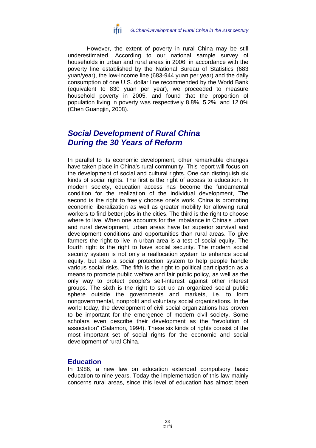![](_page_24_Picture_0.jpeg)

However, the extent of poverty in rural China may be still underestimated. According to our national sample survey of households in urban and rural areas in 2006, in accordance with the poverty line established by the National Bureau of Statistics (683 yuan/year), the low-income line (683-944 yuan per year) and the daily consumption of one U.S. dollar line recommended by the World Bank (equivalent to 830 yuan per year), we proceeded to measure household poverty in 2005, and found that the proportion of population living in poverty was respectively 8.8%, 5.2%, and 12.0% (Chen Guangjin, 2008).

# *Social Development of Rural China During the 30 Years of Reform*

In parallel to its economic development, other remarkable changes have taken place in China's rural community. This report will focus on the development of social and cultural rights. One can distinguish six kinds of social rights. The first is the right of access to education. In modern society, education access has become the fundamental condition for the realization of the individual development, The second is the right to freely choose one's work. China is promoting economic liberalization as well as greater mobility for allowing rural workers to find better jobs in the cities. The third is the right to choose where to live. When one accounts for the imbalance in China's urban and rural development, urban areas have far superior survival and development conditions and opportunities than rural areas. To give farmers the right to live in urban area is a test of social equity. The fourth right is the right to have social security. The modern social security system is not only a reallocation system to enhance social equity, but also a social protection system to help people handle various social risks. The fifth is the right to political participation as a means to promote public welfare and fair public policy, as well as the only way to protect people's self-interest against other interest groups. The sixth is the right to set up an organized social public sphere outside the governments and markets, i.e. to form nongovernmental, nonprofit and voluntary social organizations. In the world today, the development of civil social organizations has proven to be important for the emergence of modern civil society. Some scholars even describe their development as the "revolution of association" (Salamon, 1994). These six kinds of rights consist of the most important set of social rights for the economic and social development of rural China.

### **Education**

In 1986, a new law on education extended compulsory basic education to nine years. Today the implementation of this law mainly concerns rural areas, since this level of education has almost been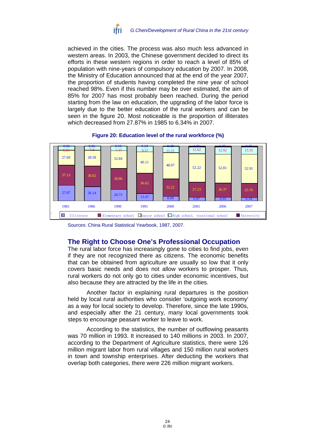![](_page_25_Picture_0.jpeg)

achieved in the cities. The process was also much less advanced in western areas. In 2003, the Chinese government decided to direct its efforts in these western regions in order to reach a level of 85% of population with nine-years of compulsory education by 2007. In 2008, the Ministry of Education announced that at the end of the year 2007, the proportion of students having completed the nine year of school reached 98%. Even if this number may be over estimated, the aim of 85% for 2007 has most probably been reached. During the period starting from the law on education, the upgrading of the labor force is largely due to the better education of the rural workers and can be seen in the figure 20. Most noticeable is the proportion of illiterates which decreased from 27.87% in 1985 to 6.34% in 2007.

#### **Figure 20: Education level of the rural workforce (%)**

![](_page_25_Figure_3.jpeg)

Sources: China Rural Statistical Yearbook, 1987, 2007.

# **The Right to Choose One's Professional Occupation**

The rural labor force has increasingly gone to cities to find jobs, even if they are not recognized there as citizens. The economic benefits that can be obtained from agriculture are usually so low that it only covers basic needs and does not allow workers to prosper. Thus, rural workers do not only go to cities under economic incentives, but also because they are attracted by the life in the cities.

Another factor in explaining rural departures is the position held by local rural authorities who consider 'outgoing work economy' as a way for local society to develop. Therefore, since the late 1990s, and especially after the 21 century, many local governments took steps to encourage peasant worker to leave to work.

According to the statistics, the number of outflowing peasants was 70 million in 1993. It increased to 140 millions in 2003. In 2007, according to the Department of Agriculture statistics, there were 126 million migrant labor from rural villages and 150 million rural workers in town and township enterprises. After deducting the workers that overlap both categories, there were 226 million migrant workers.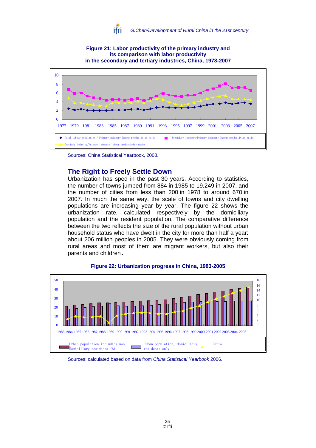![](_page_26_Picture_0.jpeg)

![](_page_26_Figure_1.jpeg)

**Figure 21: Labor productivity of the primary industry and** 

Sources: China Statistical Yearbook, 2008.

# **The Right to Freely Settle Down**

Urbanization has sped in the past 30 years. According to statistics, the number of towns jumped from 884 in 1985 to 19.249 in 2007, and the number of cities from less than 200 in 1978 to around 670 in 2007. In much the same way, the scale of towns and city dwelling populations are increasing year by year. The figure 22 shows the urbanization rate, calculated respectively by the domiciliary population and the resident population. The comparative difference between the two reflects the size of the rural population without urban household status who have dwelt in the city for more than half a year: about 206 million peoples in 2005. They were obviously coming from rural areas and most of them are migrant workers, but also their parents and children.

![](_page_26_Figure_5.jpeg)

#### **Figure 22: Urbanization progress in China, 1983-2005**

Sources: calculated based on data from *China Statistical Yearbook* 2006.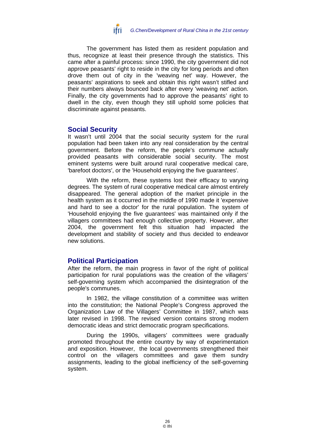![](_page_27_Picture_0.jpeg)

The government has listed them as resident population and thus, recognize at least their presence through the statistics. This came after a painful process: since 1990, the city government did not approve peasants' right to reside in the city for long periods and often drove them out of city in the 'weaving net' way. However, the peasants' aspirations to seek and obtain this right wasn't stifled and their numbers always bounced back after every 'weaving net' action. Finally, the city governments had to approve the peasants' right to dwell in the city, even though they still uphold some policies that discriminate against peasants.

## **Social Security**

It wasn't until 2004 that the social security system for the rural population had been taken into any real consideration by the central government. Before the reform, the people's commune actually provided peasants with considerable social security. The most eminent systems were built around rural cooperative medical care, 'barefoot doctors', or the 'Household enjoying the five guarantees'.

With the reform, these systems lost their efficacy to varying degrees. The system of rural cooperative medical care almost entirely disappeared. The general adoption of the market principle in the health system as it occurred in the middle of 1990 made it 'expensive and hard to see a doctor' for the rural population. The system of 'Household enjoying the five guarantees' was maintained only if the villagers committees had enough collective property. However, after 2004, the government felt this situation had impacted the development and stability of society and thus decided to endeavor new solutions.

# **Political Participation**

After the reform, the main progress in favor of the right of political participation for rural populations was the creation of the villagers' self-governing system which accompanied the disintegration of the people's communes.

In 1982, the village constitution of a committee was written into the constitution; the National People's Congress approved the Organization Law of the Villagers' Committee in 1987, which was later revised in 1998. The revised version contains strong modern democratic ideas and strict democratic program specifications.

During the 1990s, villagers' committees were gradually promoted throughout the entire country by way of experimentation and exposition. However, the local governments strengthened their control on the villagers committees and gave them sundry assignments, leading to the global inefficiency of the self-governing system.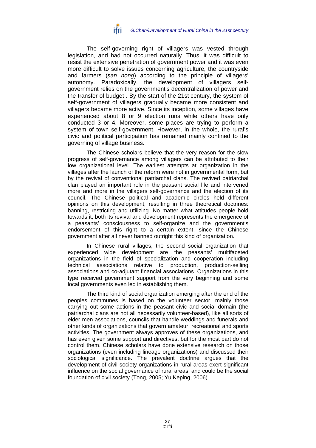![](_page_28_Picture_0.jpeg)

The self-governing right of villagers was vested through legislation, and had not occurred naturally. Thus, it was difficult to resist the extensive penetration of government power and it was even more difficult to solve issues concerning agriculture, the countryside and farmers (*san nong*) according to the principle of villagers' autonomy. Paradoxically, the development of villagers selfgovernment relies on the government's decentralization of power and the transfer of budget . By the start of the 21st century, the system of self-government of villagers gradually became more consistent and villagers became more active. Since its inception, some villages have experienced about 8 or 9 election runs while others have only conducted 3 or 4. Moreover, some places are trying to perform a system of town self-government. However, in the whole, the rural's civic and political participation has remained mainly confined to the governing of village business.

The Chinese scholars believe that the very reason for the slow progress of self-governance among villagers can be attributed to their low organizational level. The earliest attempts at organization in the villages after the launch of the reform were not in governmental form, but by the revival of conventional patriarchal clans. The revived patriarchal clan played an important role in the peasant social life and intervened more and more in the villagers self-governance and the election of its council. The Chinese political and academic circles held different opinions on this development, resulting in three theoretical doctrines: banning, restricting and utilizing. No matter what attitudes people hold towards it, both its revival and development represents the emergence of a peasants' consciousness to self-organize and the government's endorsement of this right to a certain extent, since the Chinese government after all never banned outright this kind of organization.

In Chinese rural villages, the second social organization that experienced wide development are the peasants' multifaceted organizations in the field of specialization and cooperation including technical associations relative to production, production-selling associations and co-adjutant financial associations. Organizations in this type received government support from the very beginning and some local governments even led in establishing them.

The third kind of social organization emerging after the end of the peoples communes is based on the volunteer sector, mainly those carrying out some actions in the peasant civic and social domain (the patriarchal clans are not all necessarily volunteer-based), like all sorts of elder men associations, councils that handle weddings and funerals and other kinds of organizations that govern amateur, recreational and sports activities. The government always approves of these organizations, and has even given some support and directives, but for the most part do not control them. Chinese scholars have done extensive research on those organizations (even including lineage organizations) and discussed their sociological significance. The prevalent doctrine argues that the development of civil society organizations in rural areas exert significant influence on the social governance of rural areas, and could be the social foundation of civil society (Tong, 2005; Yu Keping, 2006).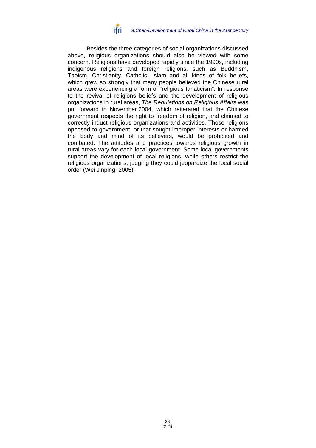![](_page_29_Picture_0.jpeg)

Besides the three categories of social organizations discussed above, religious organizations should also be viewed with some concern. Religions have developed rapidly since the 1990s, including indigenous religions and foreign religions, such as Buddhism, Taoism, Christianity, Catholic, Islam and all kinds of folk beliefs, which grew so strongly that many people believed the Chinese rural areas were experiencing a form of "religious fanaticism". In response to the revival of religions beliefs and the development of religious organizations in rural areas, *The Regulations on Religious Affairs* was put forward in November 2004, which reiterated that the Chinese government respects the right to freedom of religion, and claimed to correctly induct religious organizations and activities. Those religions opposed to government, or that sought improper interests or harmed the body and mind of its believers, would be prohibited and combated. The attitudes and practices towards religious growth in rural areas vary for each local government. Some local governments support the development of local religions, while others restrict the religious organizations, judging they could jeopardize the local social order (Wei Jinping, 2005).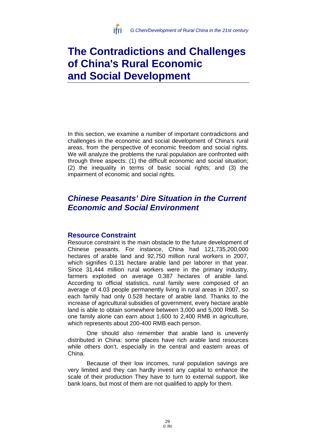![](_page_30_Picture_0.jpeg)

# **The Contradictions and Challenges of China's Rural Economic and Social Development**

In this section, we examine a number of important contradictions and challenges in the economic and social development of China's rural areas, from the perspective of economic freedom and social rights. We will analyze the problems the rural population are confronted with through three aspects: (1) the difficult economic and social situation; (2) the inequality in terms of basic social rights; and (3) the impairment of economic and social rights.

# *Chinese Peasants' Dire Situation in the Current Economic and Social Environment*

# **Resource Constraint**

Resource constraint is the main obstacle to the future development of Chinese peasants. For instance, China had 121,735,200,000 hectares of arable land and 92,750 million rural workers in 2007, which signifies 0.131 hectare arable land per laborer in that year. Since 31,444 million rural workers were in the primary industry, farmers exploited on average 0.387 hectares of arable land. According to official statistics, rural family were composed of an average of 4.03 people permanently living in rural areas in 2007, so each family had only 0.528 hectare of arable land. Thanks to the increase of agricultural subsidies of government, every hectare arable land is able to obtain somewhere between 3,000 and 5,000 RMB. So one family alone can earn about 1,600 to 2,400 RMB in agriculture, which represents about 200-400 RMB each person.

One should also remember that arable land is unevenly distributed in China: some places have rich arable land resources while others don't, especially in the central and eastern areas of China.

Because of their low incomes, rural population savings are very limited and they can hardly invest any capital to enhance the scale of their production They have to turn to external support, like bank loans, but most of them are not qualified to apply for them.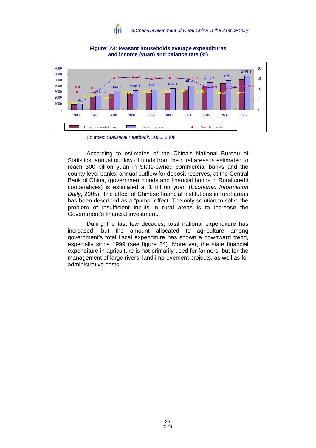![](_page_31_Picture_0.jpeg)

![](_page_31_Figure_1.jpeg)

### **Figure: 23: Peasant households average expenditures and income (yuan) and balance rate (%)**

According to estimates of the China's National Bureau of Statistics, annual outflow of funds from the rural areas is estimated to reach 300 billion yuan in State-owned commercial banks and the county level banks; annual outflow for deposit reserves, at the Central Bank of China, (government bonds and financial bonds in Rural credit cooperatives) is estimated at 1 trillion yuan (*Economic Information Daily*, 2005). The effect of Chinese financial institutions in rural areas has been described as a "pump" effect. The only solution to solve the problem of insufficient inputs in rural areas is to increase the Government's financial investment.

During the last few decades, total national expenditure has increased, but the amount allocated to agriculture among government's total fiscal expenditure has shown a downward trend, especially since 1999 (see figure 24). Moreover, the state financial expenditure in agriculture is not primarily used for farmers, but for the management of large rivers, land improvement projects, as well as for administrative costs.

Sources: *Statistical Yearbook,* 2006, 2008*.*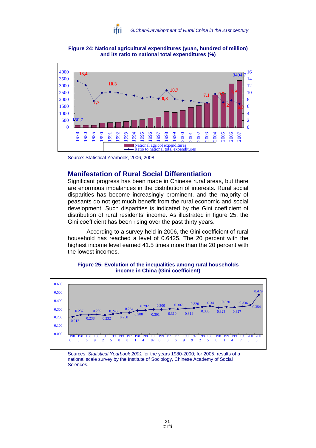![](_page_32_Picture_0.jpeg)

![](_page_32_Figure_1.jpeg)

**Figure 24: National agricultural expenditures (yuan, hundred of million) and its ratio to national total expenditures (%)** 

## **Manifestation of Rural Social Differentiation**

Significant progress has been made in Chinese rural areas, but there are enormous imbalances in the distribution of interests. Rural social disparities has become increasingly prominent, and the majority of peasants do not get much benefit from the rural economic and social development. Such disparities is indicated by the Gini coefficient of distribution of rural residents' income. As illustrated in figure 25, the Gini coefficient has been rising over the past thirty years.

According to a survey held in 2006, the Gini coefficient of rural household has reached a level of 0.6425. The 20 percent with the highest income level earned 41.5 times more than the 20 percent with the lowest incomes.

![](_page_32_Figure_7.jpeg)

#### **Figure 25: Evolution of the inequalities among rural households income in China (Gini coefficient)**

Sources: *Statistical Yearbook 2001* for the years 1980-2000; for 2005, results of a national scale survey by the Institute of Sociology, Chinese Academy of Social Sciences.

Source: Statistical Yearbook, 2006, 2008.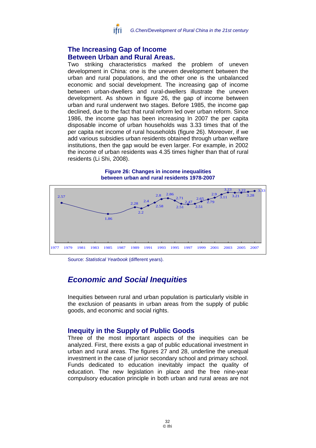![](_page_33_Picture_0.jpeg)

# **The Increasing Gap of Income Between Urban and Rural Areas.**

Two striking characteristics marked the problem of uneven development in China: one is the uneven development between the urban and rural populations, and the other one is the unbalanced economic and social development. The increasing gap of income between urban-dwellers and rural-dwellers illustrate the uneven development. As shown in figure 26, the gap of income between urban and rural underwent two stages. Before 1985, the income gap declined, due to the fact that rural reform led over urban reform. Since 1986, the income gap has been increasing In 2007 the per capita disposable income of urban households was 3.33 times that of the per capita net income of rural households (figure 26). Moreover, if we add various subsidies urban residents obtained through urban welfare institutions, then the gap would be even larger. For example, in 2002 the income of urban residents was 4.35 times higher than that of rural residents (Li Shi, 2008).

![](_page_33_Figure_3.jpeg)

![](_page_33_Figure_4.jpeg)

Source: *Statistical Yearbook* (different years).

# *Economic and Social Inequities*

Inequities between rural and urban population is particularly visible in the exclusion of peasants in urban areas from the supply of public goods, and economic and social rights.

# **Inequity in the Supply of Public Goods**

Three of the most important aspects of the inequities can be analyzed. First, there exists a gap of public educational investment in urban and rural areas. The figures 27 and 28, underline the unequal investment in the case of junior secondary school and primary school. Funds dedicated to education inevitably impact the quality of education. The new legislation in place and the free nine-year compulsory education principle in both urban and rural areas are not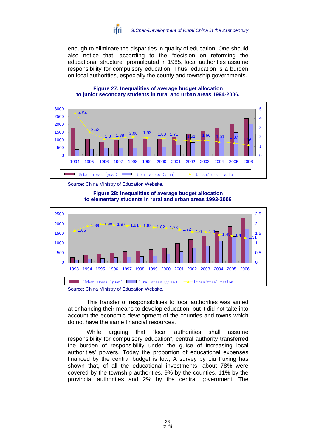![](_page_34_Picture_0.jpeg)

enough to eliminate the disparities in quality of education. One should also notice that, according to the "decision on reforming the educational structure" promulgated in 1985, local authorities assume responsibility for compulsory education. Thus, education is a burden on local authorities, especially the county and township governments.

![](_page_34_Figure_2.jpeg)

#### **Figure 27: Inequalities of average budget allocation to junior secondary students in rural and urban areas 1994-2006.**

#### **Figure 28: Inequalities of average budget allocation to elementary students in rural and urban areas 1993-2006**

![](_page_34_Figure_6.jpeg)

Source: China Ministry of Education Website.

This transfer of responsibilities to local authorities was aimed at enhancing their means to develop education, but it did not take into account the economic development of the counties and towns which do not have the same financial resources.

While arguing that "local authorities shall assume responsibility for compulsory education", central authority transferred the burden of responsibility under the guise of increasing local authorities' powers. Today the proportion of educational expenses financed by the central budget is low, A survey by Liu Fuxing has shown that, of all the educational investments, about 78% were covered by the township authorities, 9% by the counties, 11% by the provincial authorities and 2% by the central government. The

Source: China Ministry of Education Website.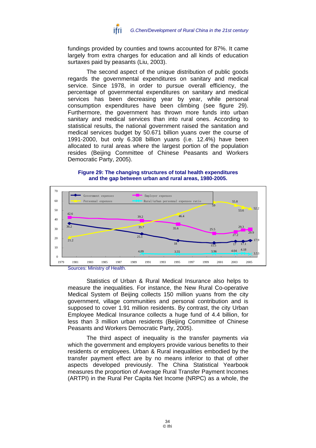![](_page_35_Picture_0.jpeg)

fundings provided by counties and towns accounted for 87%. It came largely from extra charges for education and all kinds of education surtaxes paid by peasants (Liu, 2003).

The second aspect of the unique distribution of public goods regards the governmental expenditures on sanitary and medical service. Since 1978, in order to pursue overall efficiency, the percentage of governmental expenditures on sanitary and medical services has been decreasing year by year, while personal consumption expenditures have been climbing (see figure 29). Furthermore, the government has thrown more funds into urban sanitary and medical services than into rural ones. According to statistical results, the national government raised the sanitation and medical services budget by 50.671 billion yuans over the course of 1991-2000, but only 6.308 billion yuans (i.e. 12.4%) have been allocated to rural areas where the largest portion of the population resides (Beijing Committee of Chinese Peasants and Workers Democratic Party, 2005).

#### **Figure 29: The changing structures of total health expenditures and the gap between urban and rural areas, 1980-2005.**

![](_page_35_Figure_4.jpeg)

Statistics of Urban & Rural Medical Insurance also helps to measure the inequalities. For instance, the New Rural Co-operative Medical System of Beijing collects 150 million yuans from the city government, village communities and personal contribution and is supposed to cover 1.91 million residents. By contrast, the city Urban Employee Medical Insurance collects a huge fund of 4.4 billion, for less than 3 million urban residents (Beijing Committee of Chinese Peasants and Workers Democratic Party, 2005).

The third aspect of inequality is the transfer payments *via* which the government and employers provide various benefits to their residents or employees. Urban & Rural inequalities embodied by the transfer payment effect are by no means inferior to that of other aspects developed previously. The China Statistical Yearbook measures the proportion of Average Rural Transfer Payment Incomes (ARTPI) in the Rural Per Capita Net Income (NRPC) as a whole, the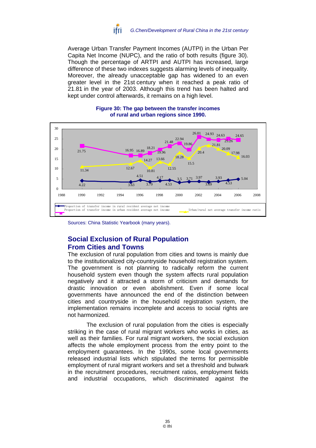![](_page_36_Picture_0.jpeg)

Average Urban Transfer Payment Incomes (AUTPI) in the Urban Per Capita Net Income (NUPC), and the ratio of both results (figure 30). Though the percentage of ARTPI and AUTPI has increased, large difference of these two indexes suggests alarming levels of inequality. Moreover, the already unacceptable gap has widened to an even greater level in the 21st century when it reached a peak ratio of 21.81 in the year of 2003. Although this trend has been halted and kept under control afterwards, it remains on a high level.

![](_page_36_Figure_2.jpeg)

#### **Figure 30: The gap between the transfer incomes of rural and urban regions since 1990.**

# **Social Exclusion of Rural Population From Cities and Towns**

The exclusion of rural population from cities and towns is mainly due to the institutionalized city-countryside household registration system. The government is not planning to radically reform the current household system even though the system affects rural population negatively and it attracted a storm of criticism and demands for drastic innovation or even abolishment. Even if some local governments have announced the end of the distinction between cities and countryside in the household registration system, the implementation remains incomplete and access to social rights are not harmonized.

The exclusion of rural population from the cities is especially striking in the case of rural migrant workers who works in cities, as well as their families. For rural migrant workers, the social exclusion affects the whole employment process from the entry point to the employment guarantees. In the 1990s, some local governments released industrial lists which stipulated the terms for permissible employment of rural migrant workers and set a threshold and bulwark in the recruitment procedures, recruitment ratios, employment fields and industrial occupations, which discriminated against the

Sources: China Statistic Yearbook (many years).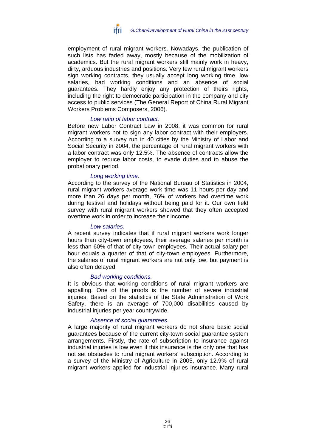![](_page_37_Picture_0.jpeg)

employment of rural migrant workers. Nowadays, the publication of such lists has faded away, mostly because of the mobilization of academics. But the rural migrant workers still mainly work in heavy, dirty, arduous industries and positions. Very few rural migrant workers sign working contracts, they usually accept long working time, low salaries, bad working conditions and an absence of social guarantees. They hardly enjoy any protection of theirs rights, including the right to democratic participation in the company and city access to public services (The General Report of China Rural Migrant Workers Problems Composers, 2006).

### *Low ratio of labor contract.*

Before new Labor Contract Law in 2008, it was common for rural migrant workers not to sign any labor contract with their employers. According to a survey run in 40 cities by the Ministry of Labor and Social Security in 2004, the percentage of rural migrant workers with a labor contract was only 12.5%. The absence of contracts allow the employer to reduce labor costs, to evade duties and to abuse the probationary period.

#### *Long working time.*

According to the survey of the National Bureau of Statistics in 2004, rural migrant workers average work time was 11 hours per day and more than 26 days per month, 76% of workers had overtime work during festival and holidays without being paid for it. Our own field survey with rural migrant workers showed that they often accepted overtime work in order to increase their income.

#### *Low salaries.*

A recent survey indicates that if rural migrant workers work longer hours than city-town employees, their average salaries per month is less than 60% of that of city-town employees. Their actual salary per hour equals a quarter of that of city-town employees. Furthermore, the salaries of rural migrant workers are not only low, but payment is also often delayed.

#### *Bad working conditions.*

It is obvious that working conditions of rural migrant workers are appalling. One of the proofs is the number of severe industrial injuries. Based on the statistics of the State Administration of Work Safety, there is an average of 700,000 disabilities caused by industrial injuries per year countrywide.

### *Absence of social guarantees.*

A large majority of rural migrant workers do not share basic social guarantees because of the current city-town social guarantee system arrangements. Firstly, the rate of subscription to insurance against industrial injuries is low even if this insurance is the only one that has not set obstacles to rural migrant workers' subscription. According to a survey of the Ministry of Agriculture in 2005, only 12.9% of rural migrant workers applied for industrial injuries insurance. Many rural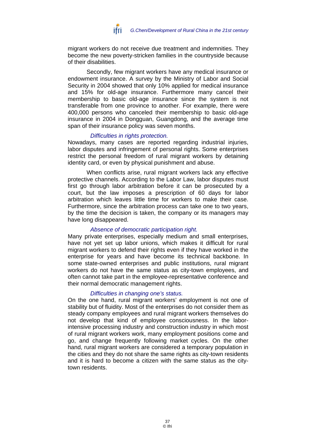![](_page_38_Picture_0.jpeg)

migrant workers do not receive due treatment and indemnities. They become the new poverty-stricken families in the countryside because of their disabilities.

Secondly, few migrant workers have any medical insurance or endowment insurance. A survey by the Ministry of Labor and Social Security in 2004 showed that only 10% applied for medical insurance and 15% for old-age insurance. Furthermore many cancel their membership to basic old-age insurance since the system is not transferable from one province to another. For example, there were 400,000 persons who canceled their membership to basic old-age insurance in 2004 in Dongguan, Guangdong, and the average time span of their insurance policy was seven months.

#### *Difficulties in rights protection.*

Nowadays, many cases are reported regarding industrial injuries, labor disputes and infringement of personal rights. Some enterprises restrict the personal freedom of rural migrant workers by detaining identity card, or even by physical punishment and abuse.

When conflicts arise, rural migrant workers lack any effective protective channels. According to the Labor Law, labor disputes must first go through labor arbitration before it can be prosecuted by a court, but the law imposes a prescription of 60 days for labor arbitration which leaves little time for workers to make their case. Furthermore, since the arbitration process can take one to two years, by the time the decision is taken, the company or its managers may have long disappeared.

### *Absence of democratic participation right.*

Many private enterprises, especially medium and small enterprises, have not yet set up labor unions, which makes it difficult for rural migrant workers to defend their rights even if they have worked in the enterprise for years and have become its technical backbone. In some state-owned enterprises and public institutions, rural migrant workers do not have the same status as city-town employees, and often cannot take part in the employee-representative conference and their normal democratic management rights.

### *Difficulties in changing one's status.*

On the one hand, rural migrant workers' employment is not one of stability but of fluidity. Most of the enterprises do not consider them as steady company employees and rural migrant workers themselves do not develop that kind of employee consciousness. In the laborintensive processing industry and construction industry in which most of rural migrant workers work, many employment positions come and go, and change frequently following market cycles. On the other hand, rural migrant workers are considered a temporary population in the cities and they do not share the same rights as city-town residents and it is hard to become a citizen with the same status as the citytown residents.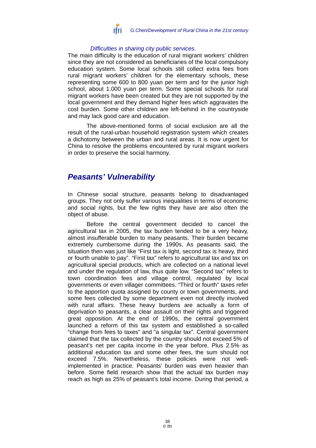![](_page_39_Picture_0.jpeg)

### *Difficulties in sharing city public services.*

The main difficulty is the education of rural migrant workers' children since they are not considered as beneficiaries of the local compulsory education system. Some local schools still collect extra fees from rural migrant workers' children for the elementary schools, these representing some 600 to 800 yuan per term and for the junior high school, about 1.000 yuan per term. Some special schools for rural migrant workers have been created but they are not supported by the local government and they demand higher fees which aggravates the cost burden. Some other children are left-behind in the countryside and may lack good care and education.

The above-mentioned forms of social exclusion are all the result of the rural-urban household registration system which creates a dichotomy between the urban and rural areas. It is now urgent for China to resolve the problems encountered by rural migrant workers in order to preserve the social harmony.

# *Peasants' Vulnerability*

In Chinese social structure, peasants belong to disadvantaged groups. They not only suffer various inequalities in terms of economic and social rights, but the few rights they have are also often the object of abuse.

Before the central government decided to cancel the agricultural tax in 2005, the tax burden tended to be a very heavy, almost insufferable burden to many peasants. Their burden became extremely cumbersome during the 1990s. As peasants said, the situation then was just like "First tax is light, second tax is heavy, third or fourth unable to pay". "First tax" refers to agricultural tax and tax on agricultural special products, which are collected on a national level and under the regulation of law, thus quite low. "Second tax" refers to town coordination fees and village control, regulated by local governments or even villager committees. "Third or fourth" taxes refer to the apportion quota assigned by county or town governments, and some fees collected by some department even not directly involved with rural affairs. These heavy burdens are actually a form of deprivation to peasants, a clear assault on their rights and triggered great opposition. At the end of 1990s, the central government launched a reform of this tax system and established a so-called "change from fees to taxes" and "a singular tax". Central government claimed that the tax collected by the country should not exceed 5% of peasant's net per capita income in the year before. Plus 2.5% as additional education tax and some other fees, the sum should not exceed 7.5%. Nevertheless, these policies were not wellimplemented in practice. Peasants' burden was even heavier than before. Some field research show that the actual tax burden may reach as high as 25% of peasant's total income. During that period, a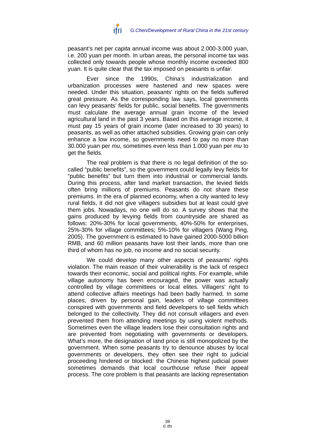![](_page_40_Picture_0.jpeg)

peasant's net per capita annual income was about 2.000-3.000 yuan, i.e. 200 yuan per month. In urban areas, the personal income tax was collected only towards people whose monthly income exceeded 800 yuan. It is quite clear that the tax imposed on peasants is unfair.

Ever since the 1990s, China's industrialization and urbanization processes were hastened and new spaces were needed. Under this situation, peasants' rights on the fields suffered great pressure. As the corresponding law says, local governments can levy peasants' fields for public, social benefits. The governments must calculate the average annual grain income of the levied agricultural land in the past 3 years. Based on this average income, it must pay 15 years of grain income (later increased to 30 years) to peasants, as well as other attached subsidies. Growing grain can only enhance a low income, so governments need to pay no more than 30.000 yuan per *mu*, sometimes even less than 1.000 yuan per *mu* to get the fields.

The real problem is that there is no legal definition of the socalled "public benefits", so the government could legally levy fields for "public benefits" but turn them into industrial or commercial lands. During this process, after land market transaction, the levied fields often bring millions of premiums. Peasants do not share these premiums. In the era of planned economy, when a city wanted to levy rural fields, it did not give villagers subsidies but at least could give them jobs. Nowadays, no one will do so. A survey shows that the gains produced by levying fields from countryside are shared as follows: 20%-30% for local governments, 40%-50% for enterprises, 25%-30% for village committees; 5%-10% for villagers (Wang Ping, 2005). The government is estimated to have gained 2000-5000 billion RMB, and 60 million peasants have lost their lands, more than one third of whom has no job, no income and no social security.

We could develop many other aspects of peasants' rights violation. The main reason of their vulnerability is the lack of respect towards their economic, social and political rights. For example, while village autonomy has been encouraged, the power was actually controlled by village committees or local elites. Villagers' right to attend collective affairs meetings had been badly harmed. In some places, driven by personal gain, leaders of village committees conspired with governments and field developers to sell fields which belonged to the collectivity. They did not consult villagers and even prevented them from attending meetings by using violent methods. Sometimes even the village leaders lose their consultation rights and are prevented from negotiating with governments or developers. What's more, the designation of land price is still monopolized by the government. When some peasants try to denounce abuses by local governments or developers, they often see their right to judicial proceeding hindered or blocked: the Chinese highest judicial power sometimes demands that local courthouse refuse their appeal process. The core problem is that peasants are lacking representation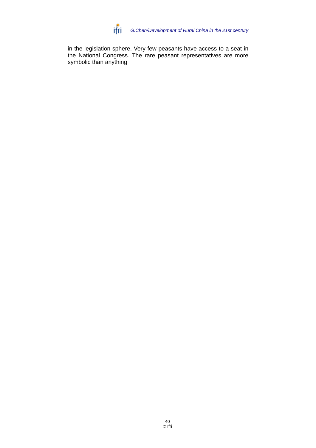![](_page_41_Picture_0.jpeg)

in the legislation sphere. Very few peasants have access to a seat in the National Congress. The rare peasant representatives are more symbolic than anything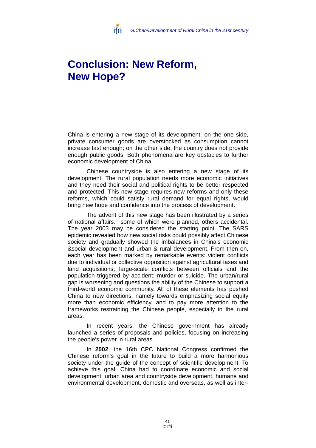![](_page_42_Picture_0.jpeg)

# **Conclusion: New Reform, New Hope?**

China is entering a new stage of its development: on the one side, private consumer goods are overstocked as consumption cannot increase fast enough; on the other side, the country does not provide enough public goods. Both phenomena are key obstacles to further economic development of China.

Chinese countryside is also entering a new stage of its development. The rural population needs more economic initiatives and they need their social and political rights to be better respected and protected. This new stage requires new reforms and only these reforms, which could satisfy rural demand for equal rights, would bring new hope and confidence into the process of development.

The advent of this new stage has been illustrated by a series of national affairs, some of which were planned, others accidental. The year 2003 may be considered the starting point. The SARS epidemic revealed how new social risks could possibly affect Chinese society and gradually showed the imbalances in China's economic &social development and urban & rural development. From then on, each year has been marked by remarkable events: violent conflicts due to individual or collective opposition against agricultural taxes and land acquisitions; large-scale conflicts between officials and the population triggered by accident; murder or suicide. The urban/rural gap is worsening and questions the ability of the Chinese to support a third-world economic community. All of these elements has pushed China to new directions, namely towards emphasizing social equity more than economic efficiency, and to pay more attention to the frameworks restraining the Chinese people, especially in the rural areas.

In recent years, the Chinese government has already launched a series of proposals and policies, focusing on increasing the people's power in rural areas.

In **2002**, the 16th CPC National Congress confirmed the Chinese reform's goal in the future to build a more harmonious society under the guide of the concept of scientific development. To achieve this goal, China had to coordinate economic and social development, urban area and countryside development, humane and environmental development, domestic and overseas, as well as inter-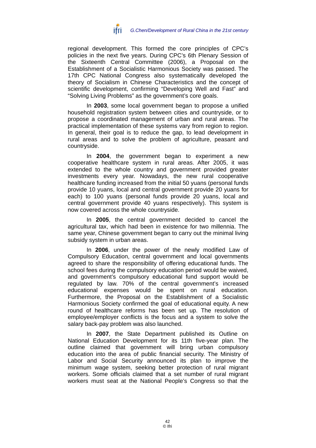![](_page_43_Picture_0.jpeg)

regional development. This formed the core principles of CPC's policies in the next five years. During CPC's 6th Plenary Session of the Sixteenth Central Committee (2006), a Proposal on the Establishment of a Socialistic Harmonious Society was passed. The 17th CPC National Congress also systematically developed the theory of Socialism in Chinese Characteristics and the concept of scientific development, confirming "Developing Well and Fast" and "Solving Living Problems" as the government's core goals.

In **2003**, some local government began to propose a unified household registration system between cities and countryside, or to propose a coordinated management of urban and rural areas. The practical implementation of these systems vary from region to region. In general, their goal is to reduce the gap, to lead development in rural areas and to solve the problem of agriculture, peasant and countryside.

In **2004**, the government began to experiment a new cooperative healthcare system in rural areas. After 2005, it was extended to the whole country and government provided greater investments every year. Nowadays, the new rural cooperative healthcare funding increased from the initial 50 yuans (personal funds provide 10 yuans, local and central government provide 20 yuans for each) to 100 yuans (personal funds provide 20 yuans, local and central government provide 40 yuans respectively). This system is now covered across the whole countryside.

In **2005**, the central government decided to cancel the agricultural tax, which had been in existence for two millennia. The same year, Chinese government began to carry out the minimal living subsidy system in urban areas.

In **2006**, under the power of the newly modified Law of Compulsory Education, central government and local governments agreed to share the responsibility of offering educational funds. The school fees during the compulsory education period would be waived, and government's compulsory educational fund support would be regulated by law. 70% of the central government's increased educational expenses would be spent on rural education. Furthermore, the Proposal on the Establishment of a Socialistic Harmonious Society confirmed the goal of educational equity. A new round of healthcare reforms has been set up. The resolution of employee/employer conflicts is the focus and a system to solve the salary back-pay problem was also launched.

In **2007**, the State Department published its Outline on National Education Development for its 11th five-year plan. The outline claimed that government will bring urban compulsory education into the area of public financial security. The Ministry of Labor and Social Security announced its plan to improve the minimum wage system, seeking better protection of rural migrant workers. Some officials claimed that a set number of rural migrant workers must seat at the National People's Congress so that the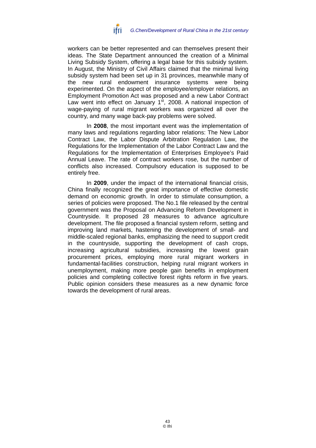![](_page_44_Picture_0.jpeg)

workers can be better represented and can themselves present their ideas. The State Department announced the creation of a Minimal Living Subsidy System, offering a legal base for this subsidy system. In August, the Ministry of Civil Affairs claimed that the minimal living subsidy system had been set up in 31 provinces, meanwhile many of the new rural endowment insurance systems were being experimented. On the aspect of the employee/employer relations, an Employment Promotion Act was proposed and a new Labor Contract Law went into effect on January  $1<sup>st</sup>$ , 2008. A national inspection of wage-paying of rural migrant workers was organized all over the country, and many wage back-pay problems were solved.

In **2008**, the most important event was the implementation of many laws and regulations regarding labor relations: The New Labor Contract Law, the Labor Dispute Arbitration Regulation Law, the Regulations for the Implementation of the Labor Contract Law and the Regulations for the Implementation of Enterprises Employee's Paid Annual Leave. The rate of contract workers rose, but the number of conflicts also increased. Compulsory education is supposed to be entirely free.

In **2009**, under the impact of the international financial crisis, China finally recognized the great importance of effective domestic demand on economic growth. In order to stimulate consumption, a series of policies were proposed. The No.1 file released by the central government was the Proposal on Advancing Reform Development in Countryside. It proposed 28 measures to advance agriculture development. The file proposed a financial system reform, setting and improving land markets, hastening the development of small- and middle-scaled regional banks, emphasizing the need to support credit in the countryside, supporting the development of cash crops, increasing agricultural subsidies, increasing the lowest grain procurement prices, employing more rural migrant workers in fundamental-facilities construction, helping rural migrant workers in unemployment, making more people gain benefits in employment policies and completing collective forest rights reform in five years. Public opinion considers these measures as a new dynamic force towards the development of rural areas.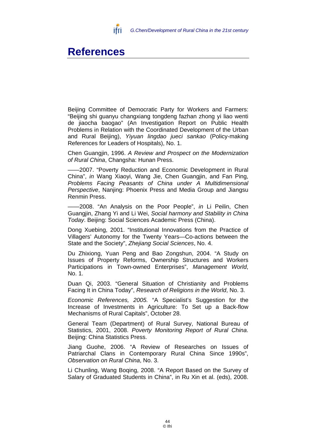![](_page_45_Picture_0.jpeg)

# **References**

Beijing Committee of Democratic Party for Workers and Farmers: "Beijing shi guanyu changxiang tongdeng fazhan zhong yi liao wenti de jiaocha baogao" (An Investigation Report on Public Health Problems in Relation with the Coordinated Development of the Urban and Rural Beijing), *Yiyuan lingdao jueci sankao* (Policy-making References for Leaders of Hospitals), No. 1.

Chen Guangjin, 1996. *A Review and Prospect on the Modernization of Rural China*, Changsha: Hunan Press.

-2007. "Poverty Reduction and Economic Development in Rural China", *in* Wang Xiaoyi, Wang Jie, Chen Guangjin, and Fan Ping, *Problems Facing Peasants of China under A Multidimensional Perspective*, Nanjing: Phoenix Press and Media Group and Jiangsu Renmin Press.

——2008. "An Analysis on the Poor People", *in* Li Peilin, Chen Guangjin, Zhang Yi and Li Wei, *Social harmony and Stability in China Today*. Beijing: Social Sciences Academic Press (China).

Dong Xuebing, 2001. "Institutional Innovations from the Practice of Villagers' Autonomy for the Twenty Years—Co-actions between the State and the Society", *Zhejiang Social Sciences*, No. 4.

Du Zhixiong, Yuan Peng and Bao Zongshun, 2004. "A Study on Issues of Property Reforms, Ownership Structures and Workers Participations in Town-owned Enterprises", *Management World*, No. 1.

Duan Qi, 2003. "General Situation of Christianity and Problems Facing It in China Today", *Research of Religions in the World*, No. 3.

*Economic References, 2005.* "A Specialist's Suggestion for the Increase of Investments in Agriculture: To Set up a Back-flow Mechanisms of Rural Capitals", October 28.

General Team (Department) of Rural Survey, National Bureau of Statistics, 2001, 2008. *Poverty Monitoring Report of Rural China*. Beijing: China Statistics Press.

Jiang Guohe, 2006. "A Review of Researches on Issues of Patriarchal Clans in Contemporary Rural China Since 1990s", *Observation on Rural China*, No. 3.

Li Chunling, Wang Boqing, 2008. "A Report Based on the Survey of Salary of Graduated Students in China", in Ru Xin et al. (eds), 2008.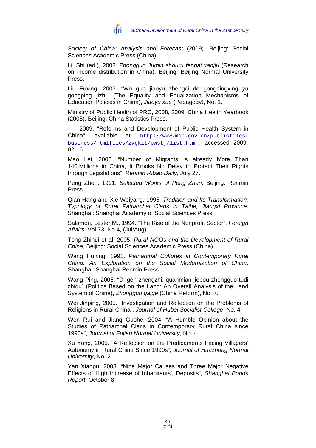![](_page_46_Picture_0.jpeg)

*Society of China: Analysis and Forecast* (2009). Beijing: Social Sciences Academic Press (China).

Li, Shi (ed.), 2008. *Zhongguo Jumin shouru fenpai yanjiu* (Research on income distribution in China), Beijing: Beijing Normal University Press.

Liu Fuxing, 2003. "Wo guo jiaoyu zhengci de gongpingxing yu gongping jizhi" (The Equality and Equalization Mechanisms of Education Policies in China), *Jiaoyu xue* (Pedagogy*)*, No. 1.

Ministry of Public Health of PRC, 2008, 2009. China Health Yearbook (2008). Beijing: China Statistics Press.

-2009, "Reforms and Development of Public Health System in China", available at: http://www.moh.gov.cn/publicfiles/ business/htmlfiles/zwgkzt/pwstj/list.htm , accessed 2009- 02-16.

Mao Lei, 2005. "Number of Migrants Is already More Than 140 Millions in China, It Brooks No Delay to Protect Their Rights through Legislations", *Renmin Ribao Daily*, July 27.

Peng Zhen, 1991. *Selected Works of Peng Zhen*. Beijing: Renmin Press.

Qian Hang and Xie Weiyang, 1995. *Tradition and Its Transformation: Typology of Rural Patriarchal Clans in Taihe, Jiangxi Province*. Shanghai: Shanghai Academy of Social Sciences Press.

Salamon, Lester M., 1994. "The Rise of the Nonprofit Sector". *Foreign Affairs,* Vol.73, No.4, (Jul/Aug).

Tong Zhihui et al, 2005. *Rural NGOs and the Development of Rural China*, Beijing: Social Sciences Academic Press (China).

Wang Huning, 1991. *Patriarchal Cultures in Contemporary Rural China: An Exploration on the Social Modernization of China*. Shanghai: Shanghai Renmin Press.

Wang Ping, 2005. "Di gen zhengzhi: quanmian jiepou zhongguo tudi zhidu" (Politics Based on the Land: An Overall Analysis of the Land System of China), *Zhongguo gaige* (China Reform), No. 7.

Wei Jinping, 2005. "Investigation and Reflection on the Problems of Religions in Rural China", *Journal of Hubei Socialist College*, No. 4.

Wen Rui and Jiang Guohe, 2004. "A Humble Opinion about the Studies of Patriarchal Clans in Contemporary Rural China since 1990s", *Journal of Fujian Normal University*, No. 4.

Xu Yong, 2005. "A Reflection on the Predicaments Facing Villagers' Autonomy in Rural China Since 1990s", *Journal of Huazhong Normal University*, No. 2.

Yan Xianpu, 2003. "Nine Major Causes and Three Major Negative Effects of High Increase of Inhabitants', Deposits", *Shanghai Bonds Report*, October 8.